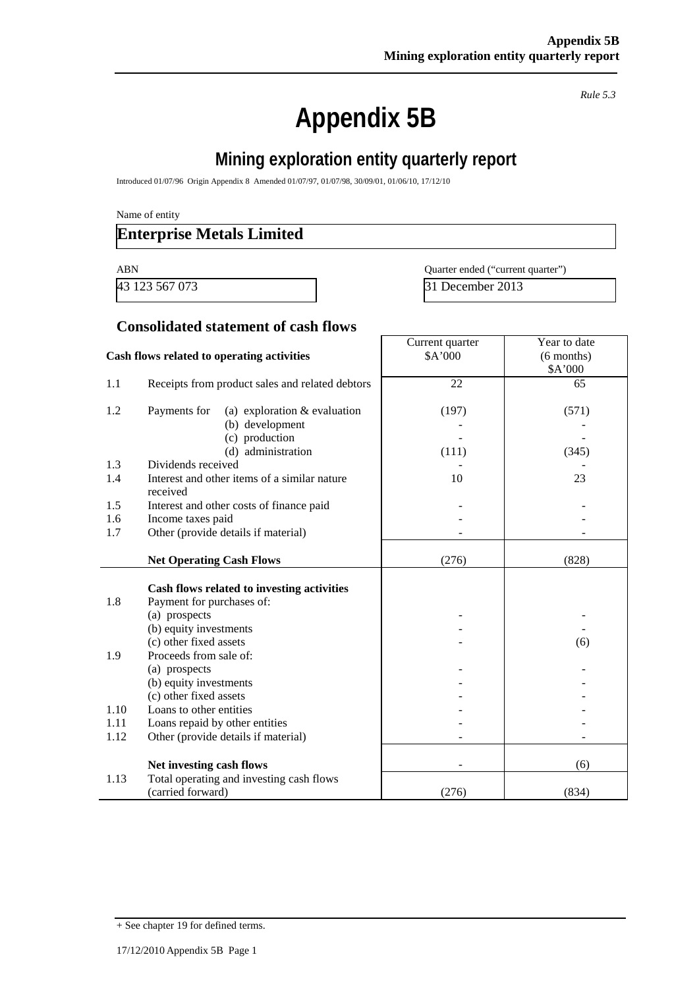*Rule 5.3*

# **Appendix 5B**

# **Mining exploration entity quarterly report**

Introduced 01/07/96 Origin Appendix 8 Amended 01/07/97, 01/07/98, 30/09/01, 01/06/10, 17/12/10

Name of entity

### **Enterprise Metals Limited**

43 123 567 073 31 December 2013

ABN Quarter ended ("current quarter")

#### **Consolidated statement of cash flows**

|                                            |                                                 | Current quarter | Year to date |
|--------------------------------------------|-------------------------------------------------|-----------------|--------------|
| Cash flows related to operating activities |                                                 | \$A'000         | $(6$ months) |
|                                            |                                                 |                 | \$A'000      |
| 1.1                                        | Receipts from product sales and related debtors | 22              | 65           |
|                                            |                                                 |                 |              |
| 1.2                                        | (a) exploration $&$ evaluation<br>Payments for  | (197)           | (571)        |
|                                            | (b) development                                 |                 |              |
|                                            | (c) production                                  |                 |              |
|                                            | (d) administration                              | (111)           | (345)        |
| 1.3                                        | Dividends received                              |                 |              |
| 1.4                                        | Interest and other items of a similar nature    | 10              | 23           |
|                                            | received                                        |                 |              |
| 1.5                                        | Interest and other costs of finance paid        |                 |              |
| 1.6                                        | Income taxes paid                               |                 |              |
| 1.7                                        | Other (provide details if material)             |                 |              |
|                                            |                                                 |                 |              |
|                                            | <b>Net Operating Cash Flows</b>                 | (276)           | (828)        |
|                                            |                                                 |                 |              |
|                                            | Cash flows related to investing activities      |                 |              |
| 1.8                                        | Payment for purchases of:                       |                 |              |
|                                            | (a) prospects                                   |                 |              |
|                                            | (b) equity investments                          |                 |              |
|                                            | (c) other fixed assets                          |                 | (6)          |
| 1.9                                        | Proceeds from sale of:                          |                 |              |
|                                            | (a) prospects                                   |                 |              |
|                                            | (b) equity investments                          |                 |              |
|                                            | (c) other fixed assets                          |                 |              |
| 1.10                                       | Loans to other entities                         |                 |              |
| 1.11                                       | Loans repaid by other entities                  |                 |              |
| 1.12                                       | Other (provide details if material)             |                 |              |
|                                            |                                                 |                 |              |
|                                            | Net investing cash flows                        |                 | (6)          |
| 1.13                                       | Total operating and investing cash flows        |                 |              |
|                                            | (carried forward)                               | (276)           | (834)        |

<sup>+</sup> See chapter 19 for defined terms.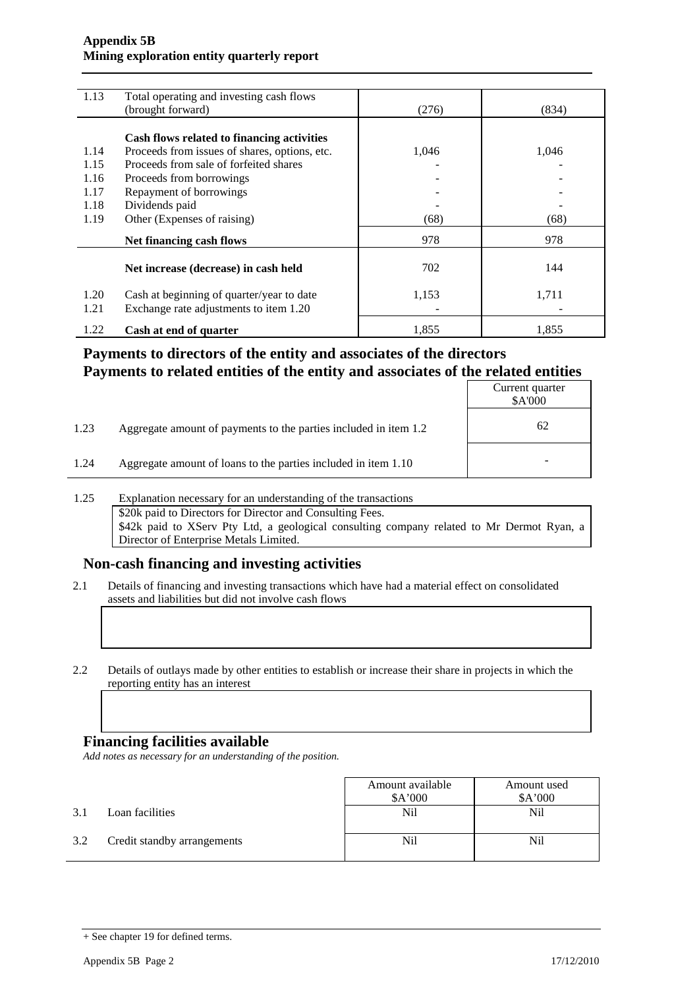#### **Appendix 5B Mining exploration entity quarterly report**

| 1.13 | Total operating and investing cash flows      |       |       |
|------|-----------------------------------------------|-------|-------|
|      | (brought forward)                             | (276) | (834) |
|      |                                               |       |       |
|      | Cash flows related to financing activities    |       |       |
| 1.14 | Proceeds from issues of shares, options, etc. | 1,046 | 1,046 |
| 1.15 | Proceeds from sale of forfeited shares        |       |       |
| 1.16 | Proceeds from borrowings                      |       |       |
| 1.17 | Repayment of borrowings                       |       |       |
| 1.18 | Dividends paid                                |       |       |
| 1.19 | Other (Expenses of raising)                   | (68)  | (68)  |
|      | Net financing cash flows                      | 978   | 978   |
|      | Net increase (decrease) in cash held          | 702   | 144   |
|      |                                               |       |       |
| 1.20 | Cash at beginning of quarter/year to date     | 1,153 | 1,711 |
| 1.21 | Exchange rate adjustments to item 1.20        |       |       |
| 1.22 | Cash at end of quarter                        | 1.855 | 1.855 |

### **Payments to directors of the entity and associates of the directors Payments to related entities of the entity and associates of the related entities**

|      |                                                                  | Current quarter<br>\$A'000 |
|------|------------------------------------------------------------------|----------------------------|
| 1.23 | Aggregate amount of payments to the parties included in item 1.2 | 62                         |
| 1.24 | Aggregate amount of loans to the parties included in item 1.10   | -                          |

1.25 Explanation necessary for an understanding of the transactions \$20k paid to Directors for Director and Consulting Fees. \$42k paid to XServ Pty Ltd, a geological consulting company related to Mr Dermot Ryan, a Director of Enterprise Metals Limited.

### **Non-cash financing and investing activities**

- 2.1 Details of financing and investing transactions which have had a material effect on consolidated assets and liabilities but did not involve cash flows
- 2.2 Details of outlays made by other entities to establish or increase their share in projects in which the reporting entity has an interest

#### **Financing facilities available**

*Add notes as necessary for an understanding of the position.*

|     |                             | Amount available | Amount used |
|-----|-----------------------------|------------------|-------------|
|     |                             | \$A'000          | \$A'000     |
| 3.1 | Loan facilities             | Nil              | Nil         |
| 3.2 | Credit standby arrangements | Nil              | Nil         |

<sup>+</sup> See chapter 19 for defined terms.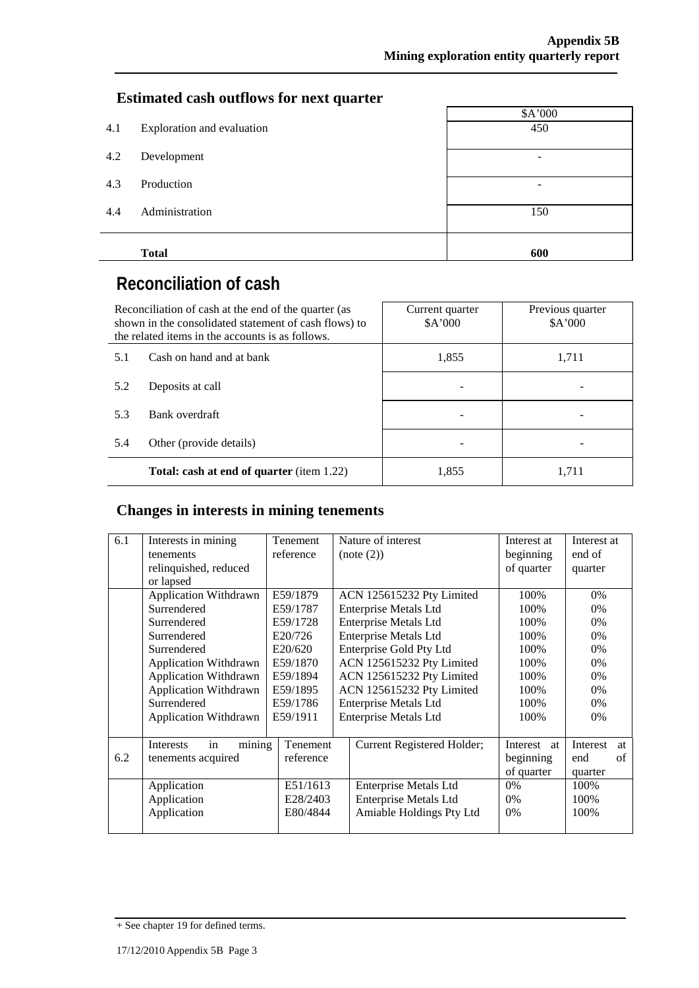### **Estimated cash outflows for next quarter**

|     |                            | \$A'000         |  |  |  |  |
|-----|----------------------------|-----------------|--|--|--|--|
| 4.1 | Exploration and evaluation | 450             |  |  |  |  |
|     |                            |                 |  |  |  |  |
| 4.2 | Development                | $\qquad \qquad$ |  |  |  |  |
| 4.3 | Production                 |                 |  |  |  |  |
|     |                            |                 |  |  |  |  |
| 4.4 | Administration             | 150             |  |  |  |  |
|     |                            |                 |  |  |  |  |
|     |                            |                 |  |  |  |  |
|     | <b>Total</b>               | 600             |  |  |  |  |

# **Reconciliation of cash**

|     | Reconciliation of cash at the end of the quarter (as<br>shown in the consolidated statement of cash flows) to<br>the related items in the accounts is as follows. | Current quarter<br>A'000 | Previous quarter<br>\$A'000 |
|-----|-------------------------------------------------------------------------------------------------------------------------------------------------------------------|--------------------------|-----------------------------|
| 5.1 | Cash on hand and at bank                                                                                                                                          | 1,855                    | 1,711                       |
| 5.2 | Deposits at call                                                                                                                                                  |                          |                             |
| 5.3 | Bank overdraft                                                                                                                                                    |                          |                             |
| 5.4 | Other (provide details)                                                                                                                                           |                          |                             |
|     | Total: cash at end of quarter (item 1.22)                                                                                                                         | 1,855                    | 1,711                       |

# **Changes in interests in mining tenements**

| 6.1 | Interests in mining<br>tenements<br>relinquished, reduced<br>or lapsed                                                                                                                                                           | Tenement<br>reference                                                                                              | Nature of interest<br>(note (2))                                                                                                                                                                                                                                                              | Interest at<br>beginning<br>of quarter                                        | Interest at<br>end of<br>quarter                                     |          |
|-----|----------------------------------------------------------------------------------------------------------------------------------------------------------------------------------------------------------------------------------|--------------------------------------------------------------------------------------------------------------------|-----------------------------------------------------------------------------------------------------------------------------------------------------------------------------------------------------------------------------------------------------------------------------------------------|-------------------------------------------------------------------------------|----------------------------------------------------------------------|----------|
|     | <b>Application Withdrawn</b><br>Surrendered<br>Surrendered<br>Surrendered<br>Surrendered<br><b>Application Withdrawn</b><br><b>Application Withdrawn</b><br>Application Withdrawn<br>Surrendered<br><b>Application Withdrawn</b> | E59/1879<br>E59/1787<br>E59/1728<br>E20/726<br>E20/620<br>E59/1870<br>E59/1894<br>E59/1895<br>E59/1786<br>E59/1911 | ACN 125615232 Pty Limited<br>Enterprise Metals Ltd<br><b>Enterprise Metals Ltd</b><br><b>Enterprise Metals Ltd</b><br>Enterprise Gold Pty Ltd<br>ACN 125615232 Pty Limited<br>ACN 125615232 Pty Limited<br>ACN 125615232 Pty Limited<br>Enterprise Metals Ltd<br><b>Enterprise Metals Ltd</b> | 100%<br>100%<br>100%<br>100%<br>100%<br>100%<br>100%<br>100%<br>100\%<br>100% | 0%<br>0%<br>$0\%$<br>$0\%$<br>0%<br>$0\%$<br>0%<br>0%<br>$0\%$<br>0% |          |
| 6.2 | Interests<br>Tenement<br>mining<br>in<br>reference<br>tenements acquired<br>Application<br>E51/1613                                                                                                                              |                                                                                                                    | Current Registered Holder;<br>Enterprise Metals Ltd                                                                                                                                                                                                                                           | Interest at<br>beginning<br>of quarter<br>0%                                  | Interest<br>end<br>quarter<br>100%                                   | at<br>of |
|     | Application<br>Application                                                                                                                                                                                                       | E28/2403<br>E80/4844                                                                                               | <b>Enterprise Metals Ltd</b><br>Amiable Holdings Pty Ltd                                                                                                                                                                                                                                      | $0\%$<br>$0\%$                                                                | 100%<br>100%                                                         |          |

<sup>+</sup> See chapter 19 for defined terms.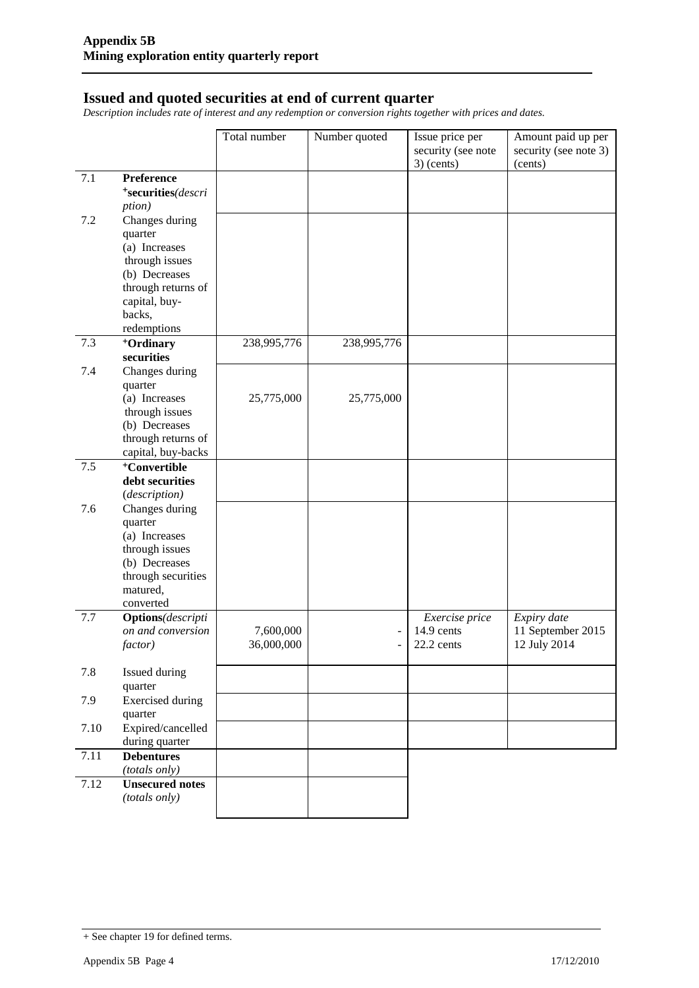#### **Issued and quoted securities at end of current quarter**

*Description includes rate of interest and any redemption or conversion rights together with prices and dates.*

|         |                                                | Total number | Number quoted | Issue price per<br>security (see note<br>$3)$ (cents) | Amount paid up per<br>security (see note 3)<br>(cents) |
|---------|------------------------------------------------|--------------|---------------|-------------------------------------------------------|--------------------------------------------------------|
| 7.1     | Preference                                     |              |               |                                                       |                                                        |
|         | *securities(descri                             |              |               |                                                       |                                                        |
|         | ption)                                         |              |               |                                                       |                                                        |
| 7.2     | Changes during                                 |              |               |                                                       |                                                        |
|         | quarter                                        |              |               |                                                       |                                                        |
|         | (a) Increases                                  |              |               |                                                       |                                                        |
|         | through issues                                 |              |               |                                                       |                                                        |
|         | (b) Decreases                                  |              |               |                                                       |                                                        |
|         | through returns of                             |              |               |                                                       |                                                        |
|         | capital, buy-                                  |              |               |                                                       |                                                        |
|         | backs,                                         |              |               |                                                       |                                                        |
|         | redemptions                                    |              |               |                                                       |                                                        |
| 7.3     | <sup>+</sup> Ordinary                          | 238,995,776  | 238,995,776   |                                                       |                                                        |
|         | securities                                     |              |               |                                                       |                                                        |
| 7.4     | Changes during                                 |              |               |                                                       |                                                        |
|         | quarter                                        |              |               |                                                       |                                                        |
|         | (a) Increases                                  | 25,775,000   | 25,775,000    |                                                       |                                                        |
|         | through issues<br>(b) Decreases                |              |               |                                                       |                                                        |
|         | through returns of                             |              |               |                                                       |                                                        |
|         | capital, buy-backs                             |              |               |                                                       |                                                        |
| $7.5\,$ | <sup>+</sup> Convertible                       |              |               |                                                       |                                                        |
|         | debt securities                                |              |               |                                                       |                                                        |
|         | (description)                                  |              |               |                                                       |                                                        |
| 7.6     | Changes during                                 |              |               |                                                       |                                                        |
|         | quarter                                        |              |               |                                                       |                                                        |
|         | (a) Increases                                  |              |               |                                                       |                                                        |
|         | through issues                                 |              |               |                                                       |                                                        |
|         | (b) Decreases                                  |              |               |                                                       |                                                        |
|         | through securities                             |              |               |                                                       |                                                        |
|         | matured,                                       |              |               |                                                       |                                                        |
|         | converted                                      |              |               |                                                       |                                                        |
| 7.7     | <b>Options</b> (descripti<br>on and conversion | 7,600,000    |               | Exercise price<br>14.9 cents                          | Expiry date<br>11 September 2015                       |
|         | factor)                                        | 36,000,000   |               | 22.2 cents                                            | 12 July 2014                                           |
|         |                                                |              |               |                                                       |                                                        |
| 7.8     | Issued during                                  |              |               |                                                       |                                                        |
|         | quarter                                        |              |               |                                                       |                                                        |
| 7.9     | <b>Exercised</b> during                        |              |               |                                                       |                                                        |
|         | quarter                                        |              |               |                                                       |                                                        |
| 7.10    | Expired/cancelled                              |              |               |                                                       |                                                        |
|         | during quarter                                 |              |               |                                                       |                                                        |
| 7.11    | <b>Debentures</b>                              |              |               |                                                       |                                                        |
|         | (totals only)                                  |              |               |                                                       |                                                        |
| 7.12    | <b>Unsecured notes</b>                         |              |               |                                                       |                                                        |
|         | (totals only)                                  |              |               |                                                       |                                                        |
|         |                                                |              |               |                                                       |                                                        |

<sup>+</sup> See chapter 19 for defined terms.